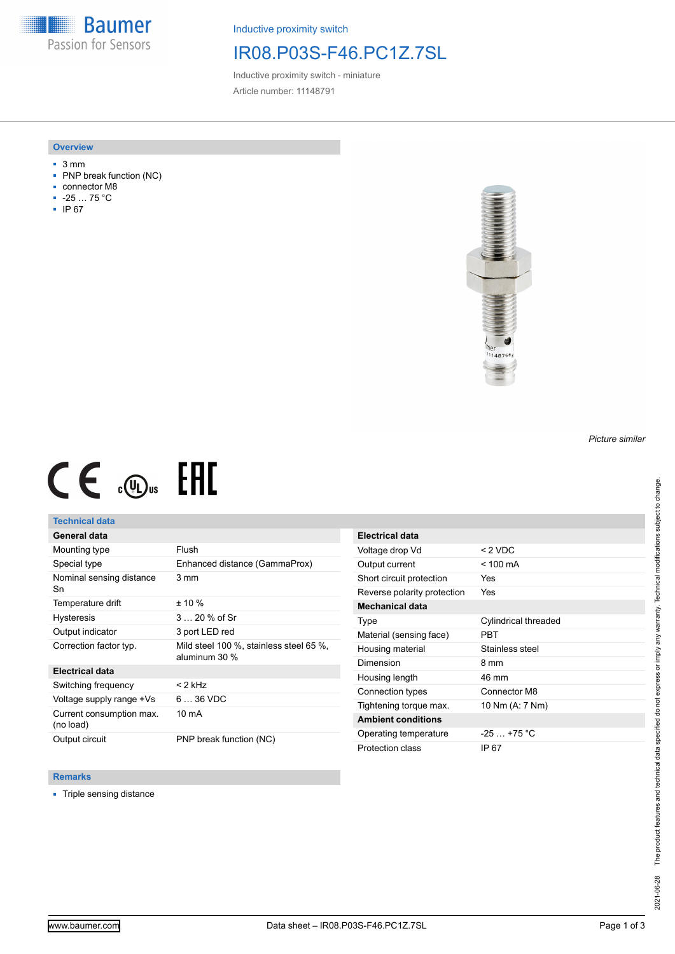**Baumer** Passion for Sensors

Inductive proximity switch

## IR08.P03S-F46.PC1Z.7SL

Inductive proximity switch - miniature Article number: 11148791

### **Overview**

- 3 mm
- PNP break function (NC)
- connector M8
- -25 … 75 °C
- IP 67



# $CE \mathcal{L}$  ( $\mathcal{L}$  and  $SE$

## **Technical data**

## **General data**

| Mounting type                         | Flush                                                    |
|---------------------------------------|----------------------------------------------------------|
| Special type                          | Enhanced distance (GammaProx)                            |
| Nominal sensing distance<br>Sn        | 3 mm                                                     |
| Temperature drift                     | $± 10 \%$                                                |
| <b>Hysteresis</b>                     | $320%$ of Sr                                             |
| Output indicator                      | 3 port LED red                                           |
| Correction factor typ.                | Mild steel 100 %, stainless steel 65 %,<br>aluminum 30 % |
| <b>Electrical data</b>                |                                                          |
| Switching frequency                   | $<$ 2 kHz                                                |
| Voltage supply range +Vs              | $636$ VDC                                                |
| Current consumption max.<br>(no load) | $10 \text{ mA}$                                          |
| Output circuit                        | PNP break function (NC)                                  |

| Electrical data             |                      |
|-----------------------------|----------------------|
| Voltage drop Vd             | $< 2$ VDC            |
| Output current              | $<$ 100 mA           |
| Short circuit protection    | Yes                  |
| Reverse polarity protection | Yes                  |
| <b>Mechanical data</b>      |                      |
| Type                        | Cylindrical threaded |
| Material (sensing face)     | PRT                  |
| Housing material            | Stainless steel      |
| Dimension                   | 8 mm                 |
| Housing length              | 46 mm                |
| Connection types            | Connector M8         |
| Tightening torque max.      | 10 Nm (A: 7 Nm)      |
| <b>Ambient conditions</b>   |                      |
| Operating temperature       | $-25 - +75$ °C       |
| Protection class            | IP 67                |

### **Remarks**

■ Triple sensing distance

*Picture similar*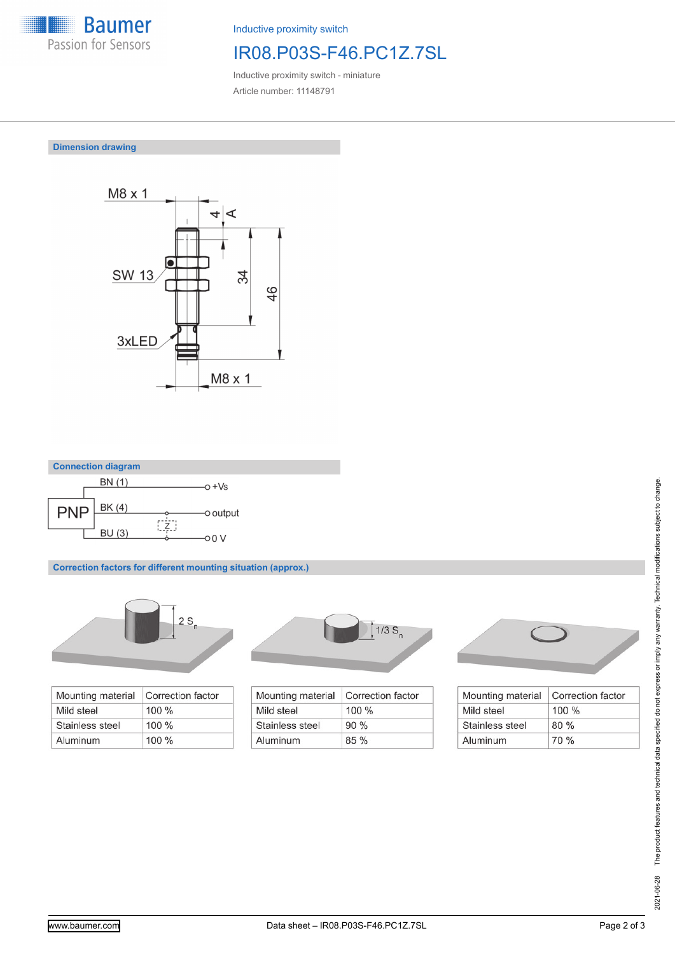

Inductive proximity switch

# IR08.P03S-F46.PC1Z.7SL

Inductive proximity switch - miniature Article number: 11148791

## **Dimension drawing**





**Correction factors for different mounting situation (approx.)**



| Mounting material | Correction factor |
|-------------------|-------------------|
| Mild steel        | $100\%$           |
| Stainless steel   | $100\%$           |
| Aluminum          | $100\%$           |



| Correction factor |
|-------------------|
| $100\%$           |
| 90%               |
| $85\%$            |
|                   |



| Mounting material | Correction factor |
|-------------------|-------------------|
| Mild steel        | $100\%$           |
| Stainless steel   | 80%               |
| Aluminum          | 70%               |